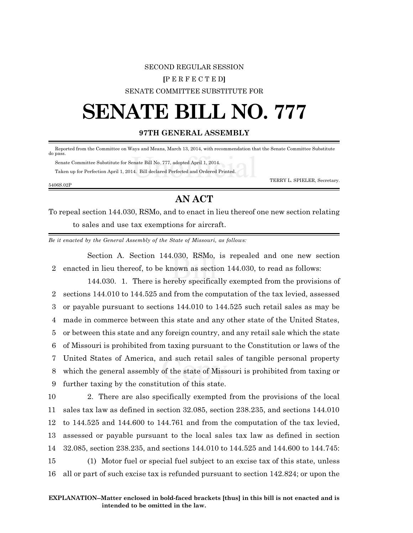## SECOND REGULAR SESSION **[**P E R F E C T E D**]** SENATE COMMITTEE SUBSTITUTE FOR

# **SENATE BILL NO. 777**

#### **97TH GENERAL ASSEMBLY**

 Reported from the Committee on Ways and Means, March 13, 2014, with recommendation that the Senate Committee Substitute do pass.

 Senate Committee Substitute for Senate Bill No. 777, adopted April 1, 2014. Taken up for Perfection April 1, 2014. Bill declared Perfected and Ordered Printed.

TERRY L. SPIELER, Secretary.

#### 5406S.02P

### **AN ACT**

To repeal section 144.030, RSMo, and to enact in lieu thereof one new section relating to sales and use tax exemptions for aircraft.

*Be it enacted by the General Assembly of the State of Missouri, as follows:*

Section A. Section 144.030, RSMo, is repealed and one new section 2 enacted in lieu thereof, to be known as section 144.030, to read as follows:

144.030. 1. There is hereby specifically exempted from the provisions of sections 144.010 to 144.525 and from the computation of the tax levied, assessed or payable pursuant to sections 144.010 to 144.525 such retail sales as may be made in commerce between this state and any other state of the United States, or between this state and any foreign country, and any retail sale which the state of Missouri is prohibited from taxing pursuant to the Constitution or laws of the United States of America, and such retail sales of tangible personal property which the general assembly of the state of Missouri is prohibited from taxing or further taxing by the constitution of this state.

 2. There are also specifically exempted from the provisions of the local sales tax law as defined in section 32.085, section 238.235, and sections 144.010 to 144.525 and 144.600 to 144.761 and from the computation of the tax levied, assessed or payable pursuant to the local sales tax law as defined in section 32.085, section 238.235, and sections 144.010 to 144.525 and 144.600 to 144.745: (1) Motor fuel or special fuel subject to an excise tax of this state, unless all or part of such excise tax is refunded pursuant to section 142.824; or upon the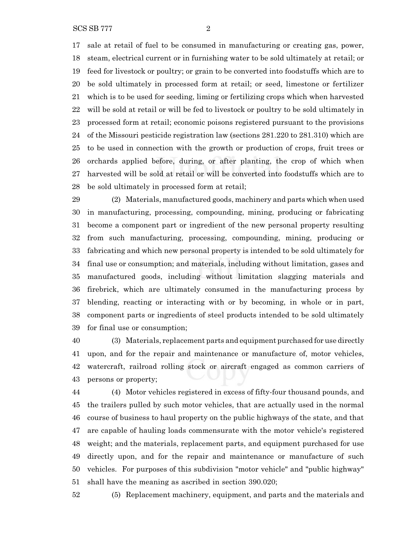SCS SB 777 2

 sale at retail of fuel to be consumed in manufacturing or creating gas, power, steam, electrical current or in furnishing water to be sold ultimately at retail; or feed for livestock or poultry; or grain to be converted into foodstuffs which are to be sold ultimately in processed form at retail; or seed, limestone or fertilizer which is to be used for seeding, liming or fertilizing crops which when harvested will be sold at retail or will be fed to livestock or poultry to be sold ultimately in processed form at retail; economic poisons registered pursuant to the provisions of the Missouri pesticide registration law (sections 281.220 to 281.310) which are to be used in connection with the growth or production of crops, fruit trees or orchards applied before, during, or after planting, the crop of which when harvested will be sold at retail or will be converted into foodstuffs which are to be sold ultimately in processed form at retail;

 (2) Materials, manufactured goods, machinery and parts which when used in manufacturing, processing, compounding, mining, producing or fabricating become a component part or ingredient of the new personal property resulting from such manufacturing, processing, compounding, mining, producing or fabricating and which new personal property is intended to be sold ultimately for final use or consumption; and materials, including without limitation, gases and manufactured goods, including without limitation slagging materials and firebrick, which are ultimately consumed in the manufacturing process by blending, reacting or interacting with or by becoming, in whole or in part, component parts or ingredients of steel products intended to be sold ultimately for final use or consumption;

 (3) Materials, replacement parts and equipment purchased for use directly upon, and for the repair and maintenance or manufacture of, motor vehicles, watercraft, railroad rolling stock or aircraft engaged as common carriers of persons or property;

 (4) Motor vehicles registered in excess of fifty-four thousand pounds, and the trailers pulled by such motor vehicles, that are actually used in the normal course of business to haul property on the public highways of the state, and that are capable of hauling loads commensurate with the motor vehicle's registered weight; and the materials, replacement parts, and equipment purchased for use directly upon, and for the repair and maintenance or manufacture of such vehicles. For purposes of this subdivision "motor vehicle" and "public highway" shall have the meaning as ascribed in section 390.020;

(5) Replacement machinery, equipment, and parts and the materials and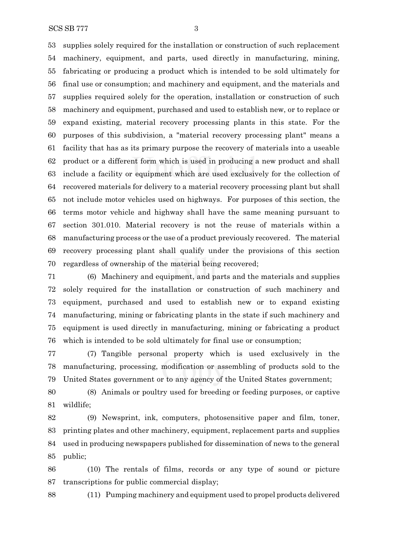SCS SB 777 3

 supplies solely required for the installation or construction of such replacement machinery, equipment, and parts, used directly in manufacturing, mining, fabricating or producing a product which is intended to be sold ultimately for final use or consumption; and machinery and equipment, and the materials and supplies required solely for the operation, installation or construction of such machinery and equipment, purchased and used to establish new, or to replace or expand existing, material recovery processing plants in this state. For the purposes of this subdivision, a "material recovery processing plant" means a facility that has as its primary purpose the recovery of materials into a useable product or a different form which is used in producing a new product and shall include a facility or equipment which are used exclusively for the collection of recovered materials for delivery to a material recovery processing plant but shall not include motor vehicles used on highways. For purposes of this section, the terms motor vehicle and highway shall have the same meaning pursuant to section 301.010. Material recovery is not the reuse of materials within a manufacturing process or the use of a product previously recovered. The material recovery processing plant shall qualify under the provisions of this section regardless of ownership of the material being recovered;

 (6) Machinery and equipment, and parts and the materials and supplies solely required for the installation or construction of such machinery and equipment, purchased and used to establish new or to expand existing manufacturing, mining or fabricating plants in the state if such machinery and equipment is used directly in manufacturing, mining or fabricating a product which is intended to be sold ultimately for final use or consumption;

 (7) Tangible personal property which is used exclusively in the manufacturing, processing, modification or assembling of products sold to the United States government or to any agency of the United States government;

 (8) Animals or poultry used for breeding or feeding purposes, or captive wildlife;

 (9) Newsprint, ink, computers, photosensitive paper and film, toner, printing plates and other machinery, equipment, replacement parts and supplies used in producing newspapers published for dissemination of news to the general public;

 (10) The rentals of films, records or any type of sound or picture transcriptions for public commercial display;

(11) Pumping machinery and equipment used to propel products delivered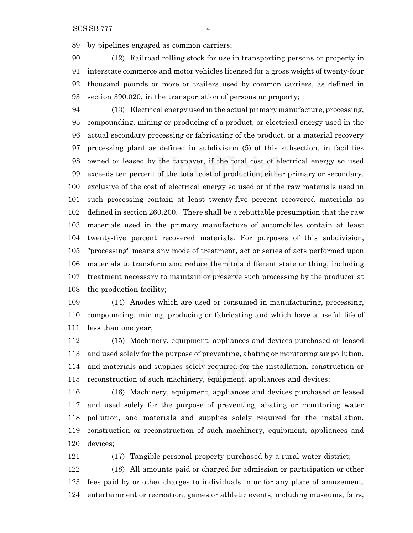by pipelines engaged as common carriers;

 (12) Railroad rolling stock for use in transporting persons or property in interstate commerce and motor vehicles licensed for a gross weight of twenty-four thousand pounds or more or trailers used by common carriers, as defined in section 390.020, in the transportation of persons or property;

 (13) Electrical energy used in the actual primary manufacture, processing, compounding, mining or producing of a product, or electrical energy used in the actual secondary processing or fabricating of the product, or a material recovery processing plant as defined in subdivision (5) of this subsection, in facilities owned or leased by the taxpayer, if the total cost of electrical energy so used exceeds ten percent of the total cost of production, either primary or secondary, exclusive of the cost of electrical energy so used or if the raw materials used in such processing contain at least twenty-five percent recovered materials as defined in section 260.200. There shall be a rebuttable presumption that the raw materials used in the primary manufacture of automobiles contain at least twenty-five percent recovered materials. For purposes of this subdivision, "processing" means any mode of treatment, act or series of acts performed upon materials to transform and reduce them to a different state or thing, including treatment necessary to maintain or preserve such processing by the producer at the production facility;

 (14) Anodes which are used or consumed in manufacturing, processing, compounding, mining, producing or fabricating and which have a useful life of less than one year;

 (15) Machinery, equipment, appliances and devices purchased or leased and used solely for the purpose of preventing, abating or monitoring air pollution, and materials and supplies solely required for the installation, construction or reconstruction of such machinery, equipment, appliances and devices;

 (16) Machinery, equipment, appliances and devices purchased or leased and used solely for the purpose of preventing, abating or monitoring water pollution, and materials and supplies solely required for the installation, construction or reconstruction of such machinery, equipment, appliances and devices;

(17) Tangible personal property purchased by a rural water district;

 (18) All amounts paid or charged for admission or participation or other fees paid by or other charges to individuals in or for any place of amusement, entertainment or recreation, games or athletic events, including museums, fairs,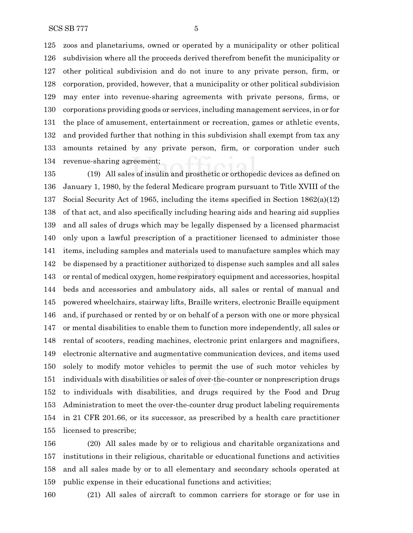zoos and planetariums, owned or operated by a municipality or other political subdivision where all the proceeds derived therefrom benefit the municipality or other political subdivision and do not inure to any private person, firm, or corporation, provided, however, that a municipality or other political subdivision may enter into revenue-sharing agreements with private persons, firms, or corporations providing goods or services, including management services, in or for the place of amusement, entertainment or recreation, games or athletic events, and provided further that nothing in this subdivision shall exempt from tax any amounts retained by any private person, firm, or corporation under such revenue-sharing agreement;

 (19) All sales of insulin and prosthetic or orthopedic devices as defined on January 1, 1980, by the federal Medicare program pursuant to Title XVIII of the Social Security Act of 1965, including the items specified in Section 1862(a)(12) of that act, and also specifically including hearing aids and hearing aid supplies and all sales of drugs which may be legally dispensed by a licensed pharmacist only upon a lawful prescription of a practitioner licensed to administer those items, including samples and materials used to manufacture samples which may be dispensed by a practitioner authorized to dispense such samples and all sales or rental of medical oxygen, home respiratory equipment and accessories, hospital beds and accessories and ambulatory aids, all sales or rental of manual and powered wheelchairs, stairway lifts, Braille writers, electronic Braille equipment and, if purchased or rented by or on behalf of a person with one or more physical or mental disabilities to enable them to function more independently, all sales or rental of scooters, reading machines, electronic print enlargers and magnifiers, electronic alternative and augmentative communication devices, and items used solely to modify motor vehicles to permit the use of such motor vehicles by individuals with disabilities or sales of over-the-counter or nonprescription drugs to individuals with disabilities, and drugs required by the Food and Drug Administration to meet the over-the-counter drug product labeling requirements in 21 CFR 201.66, or its successor, as prescribed by a health care practitioner licensed to prescribe;

 (20) All sales made by or to religious and charitable organizations and institutions in their religious, charitable or educational functions and activities and all sales made by or to all elementary and secondary schools operated at public expense in their educational functions and activities;

(21) All sales of aircraft to common carriers for storage or for use in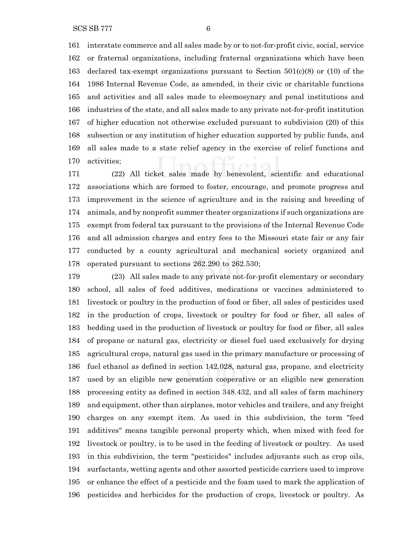interstate commerce and all sales made by or to not-for-profit civic, social, service or fraternal organizations, including fraternal organizations which have been declared tax-exempt organizations pursuant to Section 501(c)(8) or (10) of the 1986 Internal Revenue Code, as amended, in their civic or charitable functions and activities and all sales made to eleemosynary and penal institutions and industries of the state, and all sales made to any private not-for-profit institution of higher education not otherwise excluded pursuant to subdivision (20) of this subsection or any institution of higher education supported by public funds, and all sales made to a state relief agency in the exercise of relief functions and activities;

 (22) All ticket sales made by benevolent, scientific and educational associations which are formed to foster, encourage, and promote progress and improvement in the science of agriculture and in the raising and breeding of animals, and by nonprofit summer theater organizations if such organizations are exempt from federal tax pursuant to the provisions of the Internal Revenue Code and all admission charges and entry fees to the Missouri state fair or any fair conducted by a county agricultural and mechanical society organized and operated pursuant to sections 262.290 to 262.530;

 (23) All sales made to any private not-for-profit elementary or secondary school, all sales of feed additives, medications or vaccines administered to livestock or poultry in the production of food or fiber, all sales of pesticides used in the production of crops, livestock or poultry for food or fiber, all sales of bedding used in the production of livestock or poultry for food or fiber, all sales of propane or natural gas, electricity or diesel fuel used exclusively for drying agricultural crops, natural gas used in the primary manufacture or processing of fuel ethanol as defined in section 142.028, natural gas, propane, and electricity used by an eligible new generation cooperative or an eligible new generation processing entity as defined in section 348.432, and all sales of farm machinery and equipment, other than airplanes, motor vehicles and trailers, and any freight charges on any exempt item. As used in this subdivision, the term "feed additives" means tangible personal property which, when mixed with feed for livestock or poultry, is to be used in the feeding of livestock or poultry. As used in this subdivision, the term "pesticides" includes adjuvants such as crop oils, surfactants, wetting agents and other assorted pesticide carriers used to improve or enhance the effect of a pesticide and the foam used to mark the application of pesticides and herbicides for the production of crops, livestock or poultry. As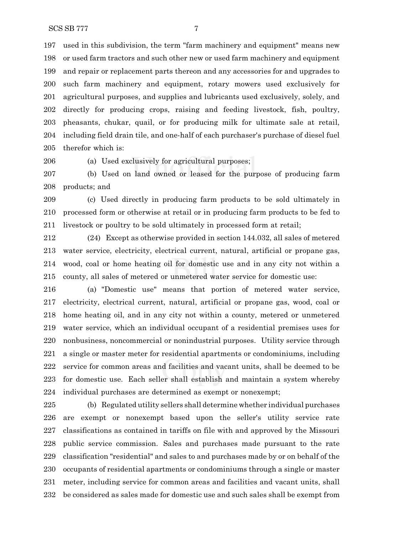used in this subdivision, the term "farm machinery and equipment" means new or used farm tractors and such other new or used farm machinery and equipment and repair or replacement parts thereon and any accessories for and upgrades to such farm machinery and equipment, rotary mowers used exclusively for agricultural purposes, and supplies and lubricants used exclusively, solely, and directly for producing crops, raising and feeding livestock, fish, poultry, pheasants, chukar, quail, or for producing milk for ultimate sale at retail, including field drain tile, and one-half of each purchaser's purchase of diesel fuel therefor which is:

(a) Used exclusively for agricultural purposes;

 (b) Used on land owned or leased for the purpose of producing farm products; and

 (c) Used directly in producing farm products to be sold ultimately in processed form or otherwise at retail or in producing farm products to be fed to livestock or poultry to be sold ultimately in processed form at retail;

 (24) Except as otherwise provided in section 144.032, all sales of metered water service, electricity, electrical current, natural, artificial or propane gas, wood, coal or home heating oil for domestic use and in any city not within a county, all sales of metered or unmetered water service for domestic use:

 (a) "Domestic use" means that portion of metered water service, electricity, electrical current, natural, artificial or propane gas, wood, coal or home heating oil, and in any city not within a county, metered or unmetered water service, which an individual occupant of a residential premises uses for nonbusiness, noncommercial or nonindustrial purposes. Utility service through a single or master meter for residential apartments or condominiums, including service for common areas and facilities and vacant units, shall be deemed to be for domestic use. Each seller shall establish and maintain a system whereby individual purchases are determined as exempt or nonexempt;

 (b) Regulated utility sellers shall determine whether individual purchases are exempt or nonexempt based upon the seller's utility service rate classifications as contained in tariffs on file with and approved by the Missouri public service commission. Sales and purchases made pursuant to the rate classification "residential" and sales to and purchases made by or on behalf of the occupants of residential apartments or condominiums through a single or master meter, including service for common areas and facilities and vacant units, shall be considered as sales made for domestic use and such sales shall be exempt from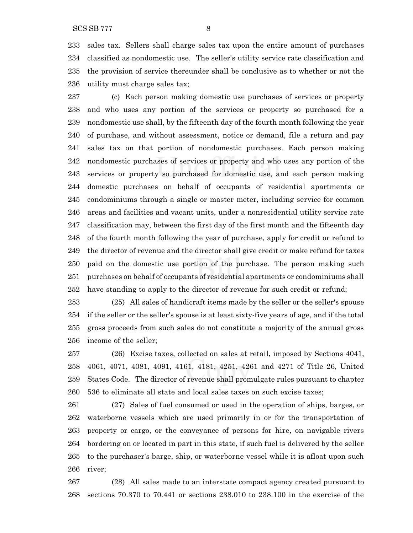sales tax. Sellers shall charge sales tax upon the entire amount of purchases classified as nondomestic use. The seller's utility service rate classification and the provision of service thereunder shall be conclusive as to whether or not the utility must charge sales tax;

 (c) Each person making domestic use purchases of services or property and who uses any portion of the services or property so purchased for a nondomestic use shall, by the fifteenth day of the fourth month following the year of purchase, and without assessment, notice or demand, file a return and pay sales tax on that portion of nondomestic purchases. Each person making nondomestic purchases of services or property and who uses any portion of the services or property so purchased for domestic use, and each person making domestic purchases on behalf of occupants of residential apartments or condominiums through a single or master meter, including service for common areas and facilities and vacant units, under a nonresidential utility service rate classification may, between the first day of the first month and the fifteenth day of the fourth month following the year of purchase, apply for credit or refund to the director of revenue and the director shall give credit or make refund for taxes paid on the domestic use portion of the purchase. The person making such purchases on behalf of occupants of residential apartments or condominiums shall have standing to apply to the director of revenue for such credit or refund;

 (25) All sales of handicraft items made by the seller or the seller's spouse if the seller or the seller's spouse is at least sixty-five years of age, and if the total gross proceeds from such sales do not constitute a majority of the annual gross income of the seller;

 (26) Excise taxes, collected on sales at retail, imposed by Sections 4041, 4061, 4071, 4081, 4091, 4161, 4181, 4251, 4261 and 4271 of Title 26, United States Code. The director of revenue shall promulgate rules pursuant to chapter 536 to eliminate all state and local sales taxes on such excise taxes;

 (27) Sales of fuel consumed or used in the operation of ships, barges, or waterborne vessels which are used primarily in or for the transportation of property or cargo, or the conveyance of persons for hire, on navigable rivers bordering on or located in part in this state, if such fuel is delivered by the seller to the purchaser's barge, ship, or waterborne vessel while it is afloat upon such river;

 (28) All sales made to an interstate compact agency created pursuant to sections 70.370 to 70.441 or sections 238.010 to 238.100 in the exercise of the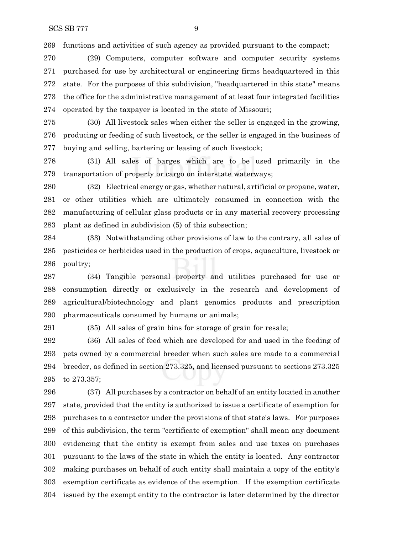functions and activities of such agency as provided pursuant to the compact;

 (29) Computers, computer software and computer security systems purchased for use by architectural or engineering firms headquartered in this state. For the purposes of this subdivision, "headquartered in this state" means the office for the administrative management of at least four integrated facilities operated by the taxpayer is located in the state of Missouri;

 (30) All livestock sales when either the seller is engaged in the growing, producing or feeding of such livestock, or the seller is engaged in the business of buying and selling, bartering or leasing of such livestock;

 (31) All sales of barges which are to be used primarily in the transportation of property or cargo on interstate waterways;

 (32) Electrical energy or gas, whether natural, artificial or propane, water, or other utilities which are ultimately consumed in connection with the manufacturing of cellular glass products or in any material recovery processing plant as defined in subdivision (5) of this subsection;

 (33) Notwithstanding other provisions of law to the contrary, all sales of pesticides or herbicides used in the production of crops, aquaculture, livestock or poultry;

 (34) Tangible personal property and utilities purchased for use or consumption directly or exclusively in the research and development of agricultural/biotechnology and plant genomics products and prescription pharmaceuticals consumed by humans or animals;

(35) All sales of grain bins for storage of grain for resale;

 (36) All sales of feed which are developed for and used in the feeding of pets owned by a commercial breeder when such sales are made to a commercial breeder, as defined in section 273.325, and licensed pursuant to sections 273.325 to 273.357;

 (37) All purchases by a contractor on behalf of an entity located in another state, provided that the entity is authorized to issue a certificate of exemption for purchases to a contractor under the provisions of that state's laws. For purposes of this subdivision, the term "certificate of exemption" shall mean any document evidencing that the entity is exempt from sales and use taxes on purchases pursuant to the laws of the state in which the entity is located. Any contractor making purchases on behalf of such entity shall maintain a copy of the entity's exemption certificate as evidence of the exemption. If the exemption certificate issued by the exempt entity to the contractor is later determined by the director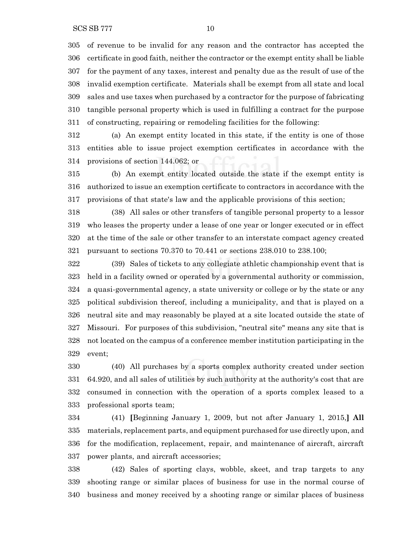of revenue to be invalid for any reason and the contractor has accepted the certificate in good faith, neither the contractor or the exempt entity shall be liable for the payment of any taxes, interest and penalty due as the result of use of the invalid exemption certificate. Materials shall be exempt from all state and local sales and use taxes when purchased by a contractor for the purpose of fabricating tangible personal property which is used in fulfilling a contract for the purpose of constructing, repairing or remodeling facilities for the following:

 (a) An exempt entity located in this state, if the entity is one of those entities able to issue project exemption certificates in accordance with the provisions of section 144.062; or

 (b) An exempt entity located outside the state if the exempt entity is authorized to issue an exemption certificate to contractors in accordance with the provisions of that state's law and the applicable provisions of this section;

 (38) All sales or other transfers of tangible personal property to a lessor who leases the property under a lease of one year or longer executed or in effect at the time of the sale or other transfer to an interstate compact agency created pursuant to sections 70.370 to 70.441 or sections 238.010 to 238.100;

 (39) Sales of tickets to any collegiate athletic championship event that is held in a facility owned or operated by a governmental authority or commission, a quasi-governmental agency, a state university or college or by the state or any political subdivision thereof, including a municipality, and that is played on a neutral site and may reasonably be played at a site located outside the state of Missouri. For purposes of this subdivision, "neutral site" means any site that is not located on the campus of a conference member institution participating in the event;

 (40) All purchases by a sports complex authority created under section 64.920, and all sales of utilities by such authority at the authority's cost that are consumed in connection with the operation of a sports complex leased to a professional sports team;

 (41) **[**Beginning January 1, 2009, but not after January 1, 2015,**] All** materials, replacement parts, and equipment purchased for use directly upon, and for the modification, replacement, repair, and maintenance of aircraft, aircraft power plants, and aircraft accessories;

 (42) Sales of sporting clays, wobble, skeet, and trap targets to any shooting range or similar places of business for use in the normal course of business and money received by a shooting range or similar places of business